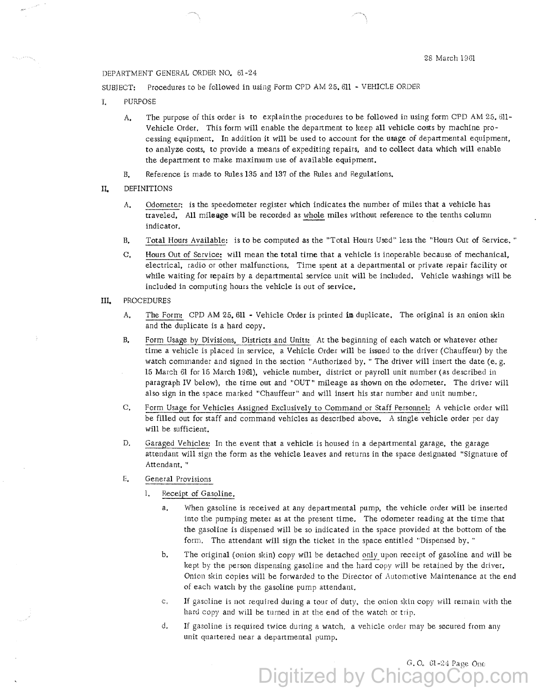## DEPARTMENT GENERAL ORDER NO. 61-24

SUBJECT: Procedures to be followed in using Form CPD AM 25. 611 - VEHICLE ORDER

- I. PURPOSE
	- A, The purpose of this order is to explain the procedures to be followed in using form CPD AM 25, 611- Vehicle Order. This form will enable the department to keep all vehicle costs by machine processing equipment. In addition it will be used to account for the usage of departmental equipment, to analyze costs, to provide a means of expediting repairs, and to collect data which will enable the department to make maximum use of available equipment.
	- B. Reference is made to Rules 135 and 137 of the Rules and Regulations.
- II. DEFINITIONS
	- A. Odometer: is the speedometer register which indicates the number of miles that a vehicle has traveled, All mileage will be recorded as miles without reference to the tenths column indicator.
	- B. Total Hours Available: is to be computed as the "Total Hours Used" less the "Hours Out of Service, "
	- C, Hours Out of Service: will mean the total time that a vehicle is inoperable because of mechanical, electrical, radio or other malfunctions, Time spent at a departmental or private repair facility or while waiting for repairs by a departmental service unit will be included. Vehicle washings will be included in computing hours the vehicle is out of service,
- III. PROCEDURES
	- A. The Form: CPD AM 25, 611 Vehicle Order is printed in duplicate. The original is an onion skin and the duplicate is a hard copy.
	- 8, Form Usage by Divisions, Districts and Units: At the beginning of each watch or whatever other time a vehicle is placed in service, a Vehicle Order will be issued to the driver (Chauffeur) by the watch commander and signed in the section "Authorized by. " The driver will insert the date (e.g. 15 March 61 for 15 March 1961), vehicle number, district or payroll unit number (as described in paragraph IV below), the time out and "OUT" mileage as shown on the odometer. The driver will also sign in the space marked "Chauffeur" and will insert his star number and unit number.
	- C. Form Usage for Vehicles Assigned Exclusively to Command or Staff Personnel: A vehicle order will be filled out for staff and command vehicles as described above. A single vehicle order per day will be sufficient.
	- D. Garaged Vehicles: In the event that a vehicle is housed in a departmental garage, the garage attendant will sign the form as the vehicle leaves and returns in the space designated "Signature of Attendant. "
	- E. General Provisions
		- 1. Receipt of Gasoline.
			- a. When gasoline is received at any departmental pump, the vehicle order will be inserted into the pumping meter as at the present time. The odometer reading at the time that the gasoline is dispensed will be so indicated in the space provided at the bottom of the form. The attendant will sign the ticket in the space entitled "Dispensed by. "
			- b. The original (onion skin) copy will be detached only upon receipt of gasoline and will be kept by the person dispensing gasoline and the hard copy will be retained by the driver. Onion skin copies will be forwarded to the Director of Automotive Maintenance at the end of each watch by the gasoline pump attendant.
			- c. If gasoline is not required during a tour of duty, the onion skin copy will remain with the hard copy and will be turned in at the end of the watch or trip.

Digitized by ChicagoCop.com

d. If gasoline is required twice during a watch, a vehicle order may be secured from any unit quartered near a departmenral pump.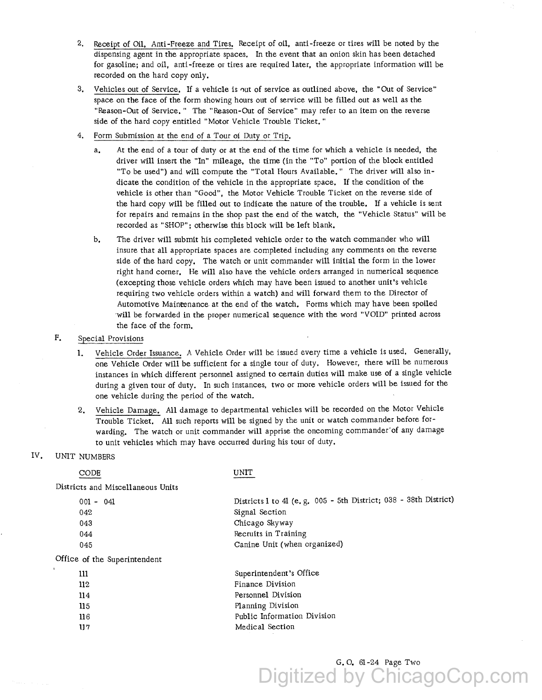- 2, Receipt of Oil, Anti-Freeze and Tires. Receipt of oil, anti-freeze or tires will be noted by the dispensing agent in the appropriate spaces, In the event that an onion skin has been detached for gasoline; and oil, anti-freeze or tires are required later, the appropriate information will be recorded on the hard copy only,
- 3, Vehicles out of Service, If a vehicle is 0ut of service as outlined above, the "Out of Service" space on the face of the form showing hours out of service will be filled out as well as the "Reason-Out of Service," The "Reason-Out of Service" may refer to an item on the reverse side of the hard copy entitled "Motor Vehicle Trouble Ticket."
- 4. Form Submission at the end of a Tour oi Duty or Trip.
	- a, At the end of a tour of duty or at the end of the time for which a vehicle is needed, the driver will insert the "In" mileage, the time (in the "To" portion of the block entitled "To be used") and will compute the "Total Hours Available." The driver will also indicate the condition of the vehicle in the appropriate space, If the condition of the vehicle is other than "Good", the Motor Vehicle Trouble Ticket on the reverse side of the hard copy will be filled out to indicate the nature of the trouble. If a vehicle is sent for repairs and remains in the shop past the end of the watch, the "Vehicle Status" will be recorded as "SHOP"; otherwise this block will be left blank.
	- b, The driver will submit his completed vehicle order to the watch commander who will insure that all appropriate spaces are completed including any comments on the reverse side of the hard copy. The watch or unit commander will initial the form in the lower right hand corner, He will also have the vehicle orders arranged in numerical sequence (excepting those vehicle orders which may have been issued to another unit's vehicle requiring two vehicle orders within a watch) and will forward them to the Director of Automotive Mainrenance at the end of the watch. Forms which may have been spoiled 'Will be forwarded in the proper numerical sequence with the word "VOID" printed across the face of the form.

# F. Special Provisions

- 1. Vehicle Order Issuance, A Vehicle Order will be issued every time a vehicle is used, Generally, one Vehicle Order will be sufficient for a single tour of duty. However, there will be numerous instances in which different personnel assigned to certain duties will make use of a single vehicle during a given tour of duty. In such instances, two or more vehicle orders will be issued for the one vehicle during the period of the watch.
- 2. Vehicle Damage. All damage to departmental vehicles will be recorded on the Motor Vehicle Trouble Ticket, All such reports will be signed by the unit or watch commander before forwarding. The watch or unit commander will apprise the oncoming commander'of any damage to unit vehicles which may have occurred during his tour of duty.

## IV. UNIT NUMBERS

#### CODE Districts and Miscellaneous Units 001 - 041 042 043 044 045 Office of the Superintendent lll ll2 ll4 115 116 lJ 7 UNIT Districts 1 to 41 (e.g. 005 - 5th District; 038 - 38th District) Signal Section Chicago Skyway Recruits in Training Canine Unit (when organized) Superintendent's Office Finance Division Personnel Division Planning Division Public Information Division Medical Section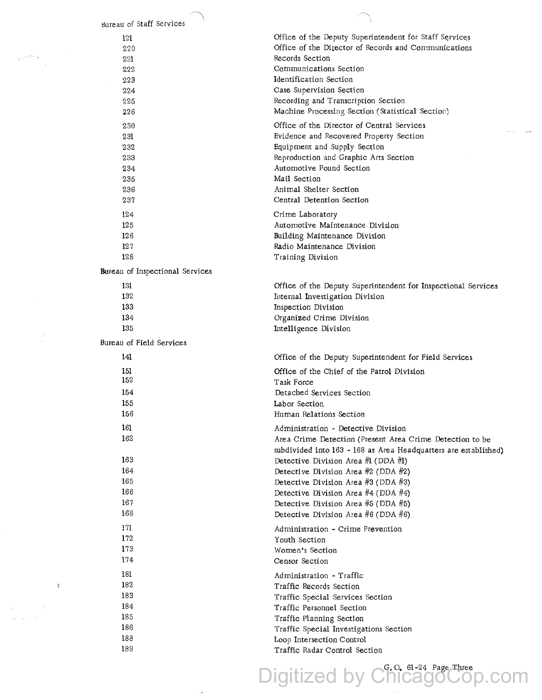| Office of the Deputy Superintendent for Staff Services<br>121<br>Office of the Director of Records and Communications<br>220<br>Records Section<br>221<br>Communications Section<br>222<br>Identification Section<br>223<br>Case Supervision Section<br>224<br>Recording and Transcription Section<br>225<br>Machine Processing Section (Statistical Section)<br>226<br>Office of the Director of Central Services<br>230<br>Evidence and Recovered Property Section<br>231<br>Equipment and Supply Section<br>232<br>Reproduction and Graphic Arts Section<br>233<br>Automotive Pound Section<br>234<br>Mail Section<br>235<br>Animal Shelter Section<br>236<br>Central Detention Section<br>237<br>124<br>Crime Laboratory<br>125<br>Automotive Maintenance Division<br>126<br>Building Maintenance Division<br>127<br>Radio Maintenance Division<br>128<br>Training Division<br>Bureau of Inspectional Services<br>131<br>Office of the Deputy Superintendent for Inspectional Services<br>132<br>Internal Investigation Division<br>133<br>Inspection Division<br>134<br>Organized Crime Division<br>135<br>Intelligence Division<br>Bureau of Field Services<br>141<br>Office of the Deputy Superintendent for Field Services<br>151<br>Office of the Chief of the Patrol Division<br>152<br>Task Force<br>154<br>Detached Services Section<br>155<br>Labor Section<br>156<br>Human Relations Section<br>161<br>Administration - Detective Division<br>162<br>Area Crime Detection (Present Area Crime Detection to be<br>subdivided into 163 - 168 as Area Headquarters are established)<br>163<br>Detective Division Area #1 (DDA #1)<br>164<br>Detective Division Area $#2$ (DDA $#2$ )<br>165<br>Detective Division Area $#3$ (DDA $#3$ )<br>166<br>Detective Division Area $#4$ (DDA $#4$ )<br>167<br>Detective Division Area $#5$ (DDA $#5$ )<br>168<br>Detective Division Area #6 (DDA #6)<br>171<br>Administration - Crime Prevention<br>172<br>Youth Section<br>173<br>Women's Section<br>174<br>Censor Section<br>181<br>Administration - Traffic<br>182<br>Traffic Records Section<br>183<br>Traffic Special Services Section<br>184<br>Traffic Personnel Section<br>185<br>Traffic Planning Section<br>186<br>Traffic Special Investigations Section<br>188<br>Loop Intersection Control<br>189<br>Traffic Radar Control Section | Bureau of Staff Services |  |
|---------------------------------------------------------------------------------------------------------------------------------------------------------------------------------------------------------------------------------------------------------------------------------------------------------------------------------------------------------------------------------------------------------------------------------------------------------------------------------------------------------------------------------------------------------------------------------------------------------------------------------------------------------------------------------------------------------------------------------------------------------------------------------------------------------------------------------------------------------------------------------------------------------------------------------------------------------------------------------------------------------------------------------------------------------------------------------------------------------------------------------------------------------------------------------------------------------------------------------------------------------------------------------------------------------------------------------------------------------------------------------------------------------------------------------------------------------------------------------------------------------------------------------------------------------------------------------------------------------------------------------------------------------------------------------------------------------------------------------------------------------------------------------------------------------------------------------------------------------------------------------------------------------------------------------------------------------------------------------------------------------------------------------------------------------------------------------------------------------------------------------------------------------------------------------------------------------------------------------------------------------------------------------------------------------------------------------------------------|--------------------------|--|
|                                                                                                                                                                                                                                                                                                                                                                                                                                                                                                                                                                                                                                                                                                                                                                                                                                                                                                                                                                                                                                                                                                                                                                                                                                                                                                                                                                                                                                                                                                                                                                                                                                                                                                                                                                                                                                                                                                                                                                                                                                                                                                                                                                                                                                                                                                                                                   |                          |  |
|                                                                                                                                                                                                                                                                                                                                                                                                                                                                                                                                                                                                                                                                                                                                                                                                                                                                                                                                                                                                                                                                                                                                                                                                                                                                                                                                                                                                                                                                                                                                                                                                                                                                                                                                                                                                                                                                                                                                                                                                                                                                                                                                                                                                                                                                                                                                                   |                          |  |
|                                                                                                                                                                                                                                                                                                                                                                                                                                                                                                                                                                                                                                                                                                                                                                                                                                                                                                                                                                                                                                                                                                                                                                                                                                                                                                                                                                                                                                                                                                                                                                                                                                                                                                                                                                                                                                                                                                                                                                                                                                                                                                                                                                                                                                                                                                                                                   |                          |  |
|                                                                                                                                                                                                                                                                                                                                                                                                                                                                                                                                                                                                                                                                                                                                                                                                                                                                                                                                                                                                                                                                                                                                                                                                                                                                                                                                                                                                                                                                                                                                                                                                                                                                                                                                                                                                                                                                                                                                                                                                                                                                                                                                                                                                                                                                                                                                                   |                          |  |
|                                                                                                                                                                                                                                                                                                                                                                                                                                                                                                                                                                                                                                                                                                                                                                                                                                                                                                                                                                                                                                                                                                                                                                                                                                                                                                                                                                                                                                                                                                                                                                                                                                                                                                                                                                                                                                                                                                                                                                                                                                                                                                                                                                                                                                                                                                                                                   |                          |  |
|                                                                                                                                                                                                                                                                                                                                                                                                                                                                                                                                                                                                                                                                                                                                                                                                                                                                                                                                                                                                                                                                                                                                                                                                                                                                                                                                                                                                                                                                                                                                                                                                                                                                                                                                                                                                                                                                                                                                                                                                                                                                                                                                                                                                                                                                                                                                                   |                          |  |
|                                                                                                                                                                                                                                                                                                                                                                                                                                                                                                                                                                                                                                                                                                                                                                                                                                                                                                                                                                                                                                                                                                                                                                                                                                                                                                                                                                                                                                                                                                                                                                                                                                                                                                                                                                                                                                                                                                                                                                                                                                                                                                                                                                                                                                                                                                                                                   |                          |  |
|                                                                                                                                                                                                                                                                                                                                                                                                                                                                                                                                                                                                                                                                                                                                                                                                                                                                                                                                                                                                                                                                                                                                                                                                                                                                                                                                                                                                                                                                                                                                                                                                                                                                                                                                                                                                                                                                                                                                                                                                                                                                                                                                                                                                                                                                                                                                                   |                          |  |
|                                                                                                                                                                                                                                                                                                                                                                                                                                                                                                                                                                                                                                                                                                                                                                                                                                                                                                                                                                                                                                                                                                                                                                                                                                                                                                                                                                                                                                                                                                                                                                                                                                                                                                                                                                                                                                                                                                                                                                                                                                                                                                                                                                                                                                                                                                                                                   |                          |  |
|                                                                                                                                                                                                                                                                                                                                                                                                                                                                                                                                                                                                                                                                                                                                                                                                                                                                                                                                                                                                                                                                                                                                                                                                                                                                                                                                                                                                                                                                                                                                                                                                                                                                                                                                                                                                                                                                                                                                                                                                                                                                                                                                                                                                                                                                                                                                                   |                          |  |
|                                                                                                                                                                                                                                                                                                                                                                                                                                                                                                                                                                                                                                                                                                                                                                                                                                                                                                                                                                                                                                                                                                                                                                                                                                                                                                                                                                                                                                                                                                                                                                                                                                                                                                                                                                                                                                                                                                                                                                                                                                                                                                                                                                                                                                                                                                                                                   |                          |  |
|                                                                                                                                                                                                                                                                                                                                                                                                                                                                                                                                                                                                                                                                                                                                                                                                                                                                                                                                                                                                                                                                                                                                                                                                                                                                                                                                                                                                                                                                                                                                                                                                                                                                                                                                                                                                                                                                                                                                                                                                                                                                                                                                                                                                                                                                                                                                                   |                          |  |
|                                                                                                                                                                                                                                                                                                                                                                                                                                                                                                                                                                                                                                                                                                                                                                                                                                                                                                                                                                                                                                                                                                                                                                                                                                                                                                                                                                                                                                                                                                                                                                                                                                                                                                                                                                                                                                                                                                                                                                                                                                                                                                                                                                                                                                                                                                                                                   |                          |  |
|                                                                                                                                                                                                                                                                                                                                                                                                                                                                                                                                                                                                                                                                                                                                                                                                                                                                                                                                                                                                                                                                                                                                                                                                                                                                                                                                                                                                                                                                                                                                                                                                                                                                                                                                                                                                                                                                                                                                                                                                                                                                                                                                                                                                                                                                                                                                                   |                          |  |
|                                                                                                                                                                                                                                                                                                                                                                                                                                                                                                                                                                                                                                                                                                                                                                                                                                                                                                                                                                                                                                                                                                                                                                                                                                                                                                                                                                                                                                                                                                                                                                                                                                                                                                                                                                                                                                                                                                                                                                                                                                                                                                                                                                                                                                                                                                                                                   |                          |  |
|                                                                                                                                                                                                                                                                                                                                                                                                                                                                                                                                                                                                                                                                                                                                                                                                                                                                                                                                                                                                                                                                                                                                                                                                                                                                                                                                                                                                                                                                                                                                                                                                                                                                                                                                                                                                                                                                                                                                                                                                                                                                                                                                                                                                                                                                                                                                                   |                          |  |
|                                                                                                                                                                                                                                                                                                                                                                                                                                                                                                                                                                                                                                                                                                                                                                                                                                                                                                                                                                                                                                                                                                                                                                                                                                                                                                                                                                                                                                                                                                                                                                                                                                                                                                                                                                                                                                                                                                                                                                                                                                                                                                                                                                                                                                                                                                                                                   |                          |  |
|                                                                                                                                                                                                                                                                                                                                                                                                                                                                                                                                                                                                                                                                                                                                                                                                                                                                                                                                                                                                                                                                                                                                                                                                                                                                                                                                                                                                                                                                                                                                                                                                                                                                                                                                                                                                                                                                                                                                                                                                                                                                                                                                                                                                                                                                                                                                                   |                          |  |
|                                                                                                                                                                                                                                                                                                                                                                                                                                                                                                                                                                                                                                                                                                                                                                                                                                                                                                                                                                                                                                                                                                                                                                                                                                                                                                                                                                                                                                                                                                                                                                                                                                                                                                                                                                                                                                                                                                                                                                                                                                                                                                                                                                                                                                                                                                                                                   |                          |  |
|                                                                                                                                                                                                                                                                                                                                                                                                                                                                                                                                                                                                                                                                                                                                                                                                                                                                                                                                                                                                                                                                                                                                                                                                                                                                                                                                                                                                                                                                                                                                                                                                                                                                                                                                                                                                                                                                                                                                                                                                                                                                                                                                                                                                                                                                                                                                                   |                          |  |
|                                                                                                                                                                                                                                                                                                                                                                                                                                                                                                                                                                                                                                                                                                                                                                                                                                                                                                                                                                                                                                                                                                                                                                                                                                                                                                                                                                                                                                                                                                                                                                                                                                                                                                                                                                                                                                                                                                                                                                                                                                                                                                                                                                                                                                                                                                                                                   |                          |  |
|                                                                                                                                                                                                                                                                                                                                                                                                                                                                                                                                                                                                                                                                                                                                                                                                                                                                                                                                                                                                                                                                                                                                                                                                                                                                                                                                                                                                                                                                                                                                                                                                                                                                                                                                                                                                                                                                                                                                                                                                                                                                                                                                                                                                                                                                                                                                                   |                          |  |
|                                                                                                                                                                                                                                                                                                                                                                                                                                                                                                                                                                                                                                                                                                                                                                                                                                                                                                                                                                                                                                                                                                                                                                                                                                                                                                                                                                                                                                                                                                                                                                                                                                                                                                                                                                                                                                                                                                                                                                                                                                                                                                                                                                                                                                                                                                                                                   |                          |  |
|                                                                                                                                                                                                                                                                                                                                                                                                                                                                                                                                                                                                                                                                                                                                                                                                                                                                                                                                                                                                                                                                                                                                                                                                                                                                                                                                                                                                                                                                                                                                                                                                                                                                                                                                                                                                                                                                                                                                                                                                                                                                                                                                                                                                                                                                                                                                                   |                          |  |
|                                                                                                                                                                                                                                                                                                                                                                                                                                                                                                                                                                                                                                                                                                                                                                                                                                                                                                                                                                                                                                                                                                                                                                                                                                                                                                                                                                                                                                                                                                                                                                                                                                                                                                                                                                                                                                                                                                                                                                                                                                                                                                                                                                                                                                                                                                                                                   |                          |  |
|                                                                                                                                                                                                                                                                                                                                                                                                                                                                                                                                                                                                                                                                                                                                                                                                                                                                                                                                                                                                                                                                                                                                                                                                                                                                                                                                                                                                                                                                                                                                                                                                                                                                                                                                                                                                                                                                                                                                                                                                                                                                                                                                                                                                                                                                                                                                                   |                          |  |
|                                                                                                                                                                                                                                                                                                                                                                                                                                                                                                                                                                                                                                                                                                                                                                                                                                                                                                                                                                                                                                                                                                                                                                                                                                                                                                                                                                                                                                                                                                                                                                                                                                                                                                                                                                                                                                                                                                                                                                                                                                                                                                                                                                                                                                                                                                                                                   |                          |  |
|                                                                                                                                                                                                                                                                                                                                                                                                                                                                                                                                                                                                                                                                                                                                                                                                                                                                                                                                                                                                                                                                                                                                                                                                                                                                                                                                                                                                                                                                                                                                                                                                                                                                                                                                                                                                                                                                                                                                                                                                                                                                                                                                                                                                                                                                                                                                                   |                          |  |
|                                                                                                                                                                                                                                                                                                                                                                                                                                                                                                                                                                                                                                                                                                                                                                                                                                                                                                                                                                                                                                                                                                                                                                                                                                                                                                                                                                                                                                                                                                                                                                                                                                                                                                                                                                                                                                                                                                                                                                                                                                                                                                                                                                                                                                                                                                                                                   |                          |  |
|                                                                                                                                                                                                                                                                                                                                                                                                                                                                                                                                                                                                                                                                                                                                                                                                                                                                                                                                                                                                                                                                                                                                                                                                                                                                                                                                                                                                                                                                                                                                                                                                                                                                                                                                                                                                                                                                                                                                                                                                                                                                                                                                                                                                                                                                                                                                                   |                          |  |
|                                                                                                                                                                                                                                                                                                                                                                                                                                                                                                                                                                                                                                                                                                                                                                                                                                                                                                                                                                                                                                                                                                                                                                                                                                                                                                                                                                                                                                                                                                                                                                                                                                                                                                                                                                                                                                                                                                                                                                                                                                                                                                                                                                                                                                                                                                                                                   |                          |  |
|                                                                                                                                                                                                                                                                                                                                                                                                                                                                                                                                                                                                                                                                                                                                                                                                                                                                                                                                                                                                                                                                                                                                                                                                                                                                                                                                                                                                                                                                                                                                                                                                                                                                                                                                                                                                                                                                                                                                                                                                                                                                                                                                                                                                                                                                                                                                                   |                          |  |
|                                                                                                                                                                                                                                                                                                                                                                                                                                                                                                                                                                                                                                                                                                                                                                                                                                                                                                                                                                                                                                                                                                                                                                                                                                                                                                                                                                                                                                                                                                                                                                                                                                                                                                                                                                                                                                                                                                                                                                                                                                                                                                                                                                                                                                                                                                                                                   |                          |  |
|                                                                                                                                                                                                                                                                                                                                                                                                                                                                                                                                                                                                                                                                                                                                                                                                                                                                                                                                                                                                                                                                                                                                                                                                                                                                                                                                                                                                                                                                                                                                                                                                                                                                                                                                                                                                                                                                                                                                                                                                                                                                                                                                                                                                                                                                                                                                                   |                          |  |
|                                                                                                                                                                                                                                                                                                                                                                                                                                                                                                                                                                                                                                                                                                                                                                                                                                                                                                                                                                                                                                                                                                                                                                                                                                                                                                                                                                                                                                                                                                                                                                                                                                                                                                                                                                                                                                                                                                                                                                                                                                                                                                                                                                                                                                                                                                                                                   |                          |  |
|                                                                                                                                                                                                                                                                                                                                                                                                                                                                                                                                                                                                                                                                                                                                                                                                                                                                                                                                                                                                                                                                                                                                                                                                                                                                                                                                                                                                                                                                                                                                                                                                                                                                                                                                                                                                                                                                                                                                                                                                                                                                                                                                                                                                                                                                                                                                                   |                          |  |
|                                                                                                                                                                                                                                                                                                                                                                                                                                                                                                                                                                                                                                                                                                                                                                                                                                                                                                                                                                                                                                                                                                                                                                                                                                                                                                                                                                                                                                                                                                                                                                                                                                                                                                                                                                                                                                                                                                                                                                                                                                                                                                                                                                                                                                                                                                                                                   |                          |  |
|                                                                                                                                                                                                                                                                                                                                                                                                                                                                                                                                                                                                                                                                                                                                                                                                                                                                                                                                                                                                                                                                                                                                                                                                                                                                                                                                                                                                                                                                                                                                                                                                                                                                                                                                                                                                                                                                                                                                                                                                                                                                                                                                                                                                                                                                                                                                                   |                          |  |
|                                                                                                                                                                                                                                                                                                                                                                                                                                                                                                                                                                                                                                                                                                                                                                                                                                                                                                                                                                                                                                                                                                                                                                                                                                                                                                                                                                                                                                                                                                                                                                                                                                                                                                                                                                                                                                                                                                                                                                                                                                                                                                                                                                                                                                                                                                                                                   |                          |  |
|                                                                                                                                                                                                                                                                                                                                                                                                                                                                                                                                                                                                                                                                                                                                                                                                                                                                                                                                                                                                                                                                                                                                                                                                                                                                                                                                                                                                                                                                                                                                                                                                                                                                                                                                                                                                                                                                                                                                                                                                                                                                                                                                                                                                                                                                                                                                                   |                          |  |
|                                                                                                                                                                                                                                                                                                                                                                                                                                                                                                                                                                                                                                                                                                                                                                                                                                                                                                                                                                                                                                                                                                                                                                                                                                                                                                                                                                                                                                                                                                                                                                                                                                                                                                                                                                                                                                                                                                                                                                                                                                                                                                                                                                                                                                                                                                                                                   |                          |  |
|                                                                                                                                                                                                                                                                                                                                                                                                                                                                                                                                                                                                                                                                                                                                                                                                                                                                                                                                                                                                                                                                                                                                                                                                                                                                                                                                                                                                                                                                                                                                                                                                                                                                                                                                                                                                                                                                                                                                                                                                                                                                                                                                                                                                                                                                                                                                                   |                          |  |
|                                                                                                                                                                                                                                                                                                                                                                                                                                                                                                                                                                                                                                                                                                                                                                                                                                                                                                                                                                                                                                                                                                                                                                                                                                                                                                                                                                                                                                                                                                                                                                                                                                                                                                                                                                                                                                                                                                                                                                                                                                                                                                                                                                                                                                                                                                                                                   |                          |  |
|                                                                                                                                                                                                                                                                                                                                                                                                                                                                                                                                                                                                                                                                                                                                                                                                                                                                                                                                                                                                                                                                                                                                                                                                                                                                                                                                                                                                                                                                                                                                                                                                                                                                                                                                                                                                                                                                                                                                                                                                                                                                                                                                                                                                                                                                                                                                                   |                          |  |
|                                                                                                                                                                                                                                                                                                                                                                                                                                                                                                                                                                                                                                                                                                                                                                                                                                                                                                                                                                                                                                                                                                                                                                                                                                                                                                                                                                                                                                                                                                                                                                                                                                                                                                                                                                                                                                                                                                                                                                                                                                                                                                                                                                                                                                                                                                                                                   |                          |  |
|                                                                                                                                                                                                                                                                                                                                                                                                                                                                                                                                                                                                                                                                                                                                                                                                                                                                                                                                                                                                                                                                                                                                                                                                                                                                                                                                                                                                                                                                                                                                                                                                                                                                                                                                                                                                                                                                                                                                                                                                                                                                                                                                                                                                                                                                                                                                                   |                          |  |
|                                                                                                                                                                                                                                                                                                                                                                                                                                                                                                                                                                                                                                                                                                                                                                                                                                                                                                                                                                                                                                                                                                                                                                                                                                                                                                                                                                                                                                                                                                                                                                                                                                                                                                                                                                                                                                                                                                                                                                                                                                                                                                                                                                                                                                                                                                                                                   |                          |  |
|                                                                                                                                                                                                                                                                                                                                                                                                                                                                                                                                                                                                                                                                                                                                                                                                                                                                                                                                                                                                                                                                                                                                                                                                                                                                                                                                                                                                                                                                                                                                                                                                                                                                                                                                                                                                                                                                                                                                                                                                                                                                                                                                                                                                                                                                                                                                                   |                          |  |
|                                                                                                                                                                                                                                                                                                                                                                                                                                                                                                                                                                                                                                                                                                                                                                                                                                                                                                                                                                                                                                                                                                                                                                                                                                                                                                                                                                                                                                                                                                                                                                                                                                                                                                                                                                                                                                                                                                                                                                                                                                                                                                                                                                                                                                                                                                                                                   |                          |  |
|                                                                                                                                                                                                                                                                                                                                                                                                                                                                                                                                                                                                                                                                                                                                                                                                                                                                                                                                                                                                                                                                                                                                                                                                                                                                                                                                                                                                                                                                                                                                                                                                                                                                                                                                                                                                                                                                                                                                                                                                                                                                                                                                                                                                                                                                                                                                                   |                          |  |
|                                                                                                                                                                                                                                                                                                                                                                                                                                                                                                                                                                                                                                                                                                                                                                                                                                                                                                                                                                                                                                                                                                                                                                                                                                                                                                                                                                                                                                                                                                                                                                                                                                                                                                                                                                                                                                                                                                                                                                                                                                                                                                                                                                                                                                                                                                                                                   |                          |  |
|                                                                                                                                                                                                                                                                                                                                                                                                                                                                                                                                                                                                                                                                                                                                                                                                                                                                                                                                                                                                                                                                                                                                                                                                                                                                                                                                                                                                                                                                                                                                                                                                                                                                                                                                                                                                                                                                                                                                                                                                                                                                                                                                                                                                                                                                                                                                                   |                          |  |
|                                                                                                                                                                                                                                                                                                                                                                                                                                                                                                                                                                                                                                                                                                                                                                                                                                                                                                                                                                                                                                                                                                                                                                                                                                                                                                                                                                                                                                                                                                                                                                                                                                                                                                                                                                                                                                                                                                                                                                                                                                                                                                                                                                                                                                                                                                                                                   |                          |  |
|                                                                                                                                                                                                                                                                                                                                                                                                                                                                                                                                                                                                                                                                                                                                                                                                                                                                                                                                                                                                                                                                                                                                                                                                                                                                                                                                                                                                                                                                                                                                                                                                                                                                                                                                                                                                                                                                                                                                                                                                                                                                                                                                                                                                                                                                                                                                                   |                          |  |
|                                                                                                                                                                                                                                                                                                                                                                                                                                                                                                                                                                                                                                                                                                                                                                                                                                                                                                                                                                                                                                                                                                                                                                                                                                                                                                                                                                                                                                                                                                                                                                                                                                                                                                                                                                                                                                                                                                                                                                                                                                                                                                                                                                                                                                                                                                                                                   |                          |  |
|                                                                                                                                                                                                                                                                                                                                                                                                                                                                                                                                                                                                                                                                                                                                                                                                                                                                                                                                                                                                                                                                                                                                                                                                                                                                                                                                                                                                                                                                                                                                                                                                                                                                                                                                                                                                                                                                                                                                                                                                                                                                                                                                                                                                                                                                                                                                                   |                          |  |
|                                                                                                                                                                                                                                                                                                                                                                                                                                                                                                                                                                                                                                                                                                                                                                                                                                                                                                                                                                                                                                                                                                                                                                                                                                                                                                                                                                                                                                                                                                                                                                                                                                                                                                                                                                                                                                                                                                                                                                                                                                                                                                                                                                                                                                                                                                                                                   |                          |  |
|                                                                                                                                                                                                                                                                                                                                                                                                                                                                                                                                                                                                                                                                                                                                                                                                                                                                                                                                                                                                                                                                                                                                                                                                                                                                                                                                                                                                                                                                                                                                                                                                                                                                                                                                                                                                                                                                                                                                                                                                                                                                                                                                                                                                                                                                                                                                                   |                          |  |
|                                                                                                                                                                                                                                                                                                                                                                                                                                                                                                                                                                                                                                                                                                                                                                                                                                                                                                                                                                                                                                                                                                                                                                                                                                                                                                                                                                                                                                                                                                                                                                                                                                                                                                                                                                                                                                                                                                                                                                                                                                                                                                                                                                                                                                                                                                                                                   |                          |  |

 $\sim$   $\sim$ 

 $e^{2\pi i \theta \theta \lambda} \left( \lambda \right)$ 

 $\mathcal{O}(\log n)$  and  $\mathcal{O}(\log n)$ 

Digitized by ChicagoCop.com